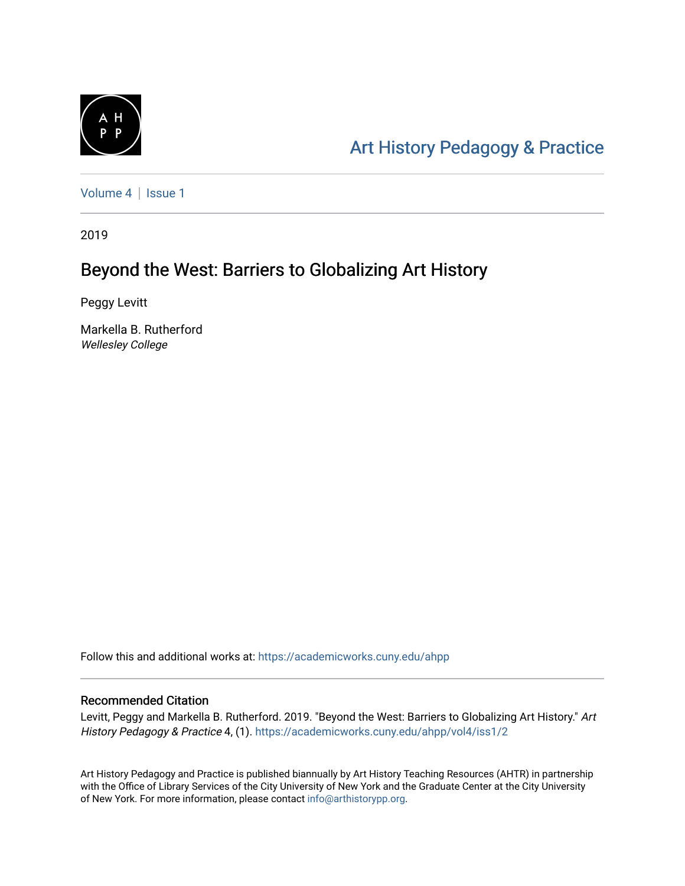

# [Art History Pedagogy & Pr](https://academicworks.cuny.edu/ahpp)actice

[Volume 4](https://academicworks.cuny.edu/ahpp/vol4) | Issue 1

2019

## Beyond the West: Barriers to Globalizing Art History

Peggy Levitt

Markella B. Rutherford Wellesley College

Follow this and additional works at: [https://academicworks.cuny.edu/ahpp](https://academicworks.cuny.edu/ahpp?utm_source=academicworks.cuny.edu%2Fahpp%2Fvol4%2Fiss1%2F2&utm_medium=PDF&utm_campaign=PDFCoverPages)

#### Recommended Citation

Levitt, Peggy and Markella B. Rutherford. 2019. "Beyond the West: Barriers to Globalizing Art History." Art History Pedagogy & Practice 4, (1). [https://academicworks.cuny.edu/ahpp/vol4/iss1/2](https://academicworks.cuny.edu/ahpp/vol4/iss1/2?utm_source=academicworks.cuny.edu%2Fahpp%2Fvol4%2Fiss1%2F2&utm_medium=PDF&utm_campaign=PDFCoverPages)

Art History Pedagogy and Practice is published biannually by Art History Teaching Resources (AHTR) in partnership with the Office of Library Services of the City University of New York and the Graduate Center at the City University of New York. For more information, please contact [info@arthistorypp.org](mailto:info@arthistorypp.org).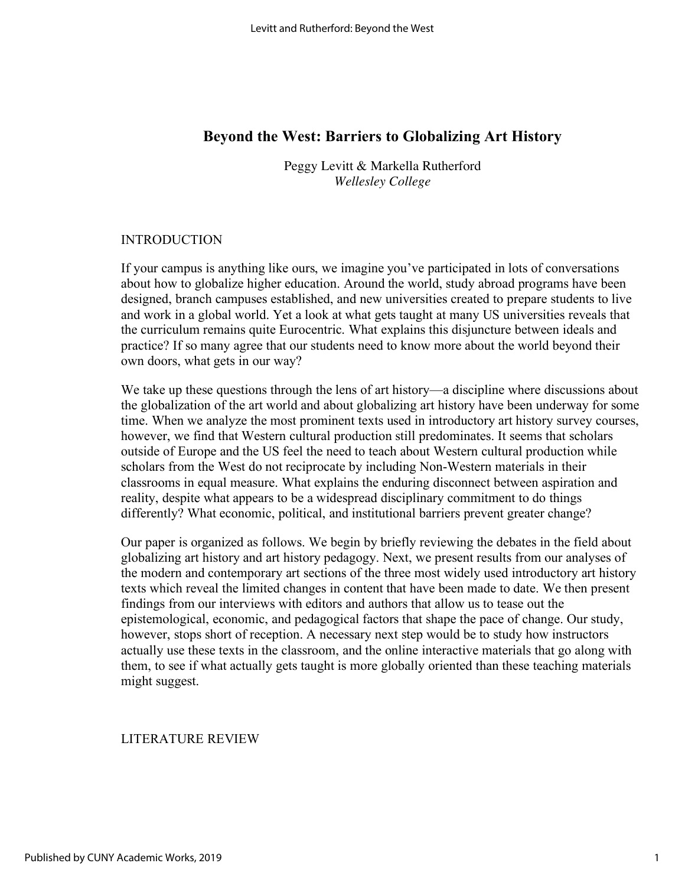## **Beyond the West: Barriers to Globalizing Art History**

Peggy Levitt & Markella Rutherford *Wellesley College*

#### INTRODUCTION

If your campus is anything like ours, we imagine you've participated in lots of conversations about how to globalize higher education. Around the world, study abroad programs have been designed, branch campuses established, and new universities created to prepare students to live and work in a global world. Yet a look at what gets taught at many US universities reveals that the curriculum remains quite Eurocentric. What explains this disjuncture between ideals and practice? If so many agree that our students need to know more about the world beyond their own doors, what gets in our way?

We take up these questions through the lens of art history—a discipline where discussions about the globalization of the art world and about globalizing art history have been underway for some time. When we analyze the most prominent texts used in introductory art history survey courses, however, we find that Western cultural production still predominates. It seems that scholars outside of Europe and the US feel the need to teach about Western cultural production while scholars from the West do not reciprocate by including Non-Western materials in their classrooms in equal measure. What explains the enduring disconnect between aspiration and reality, despite what appears to be a widespread disciplinary commitment to do things differently? What economic, political, and institutional barriers prevent greater change?

Our paper is organized as follows. We begin by briefly reviewing the debates in the field about globalizing art history and art history pedagogy. Next, we present results from our analyses of the modern and contemporary art sections of the three most widely used introductory art history texts which reveal the limited changes in content that have been made to date. We then present findings from our interviews with editors and authors that allow us to tease out the epistemological, economic, and pedagogical factors that shape the pace of change. Our study, however, stops short of reception. A necessary next step would be to study how instructors actually use these texts in the classroom, and the online interactive materials that go along with them, to see if what actually gets taught is more globally oriented than these teaching materials might suggest.

#### LITERATURE REVIEW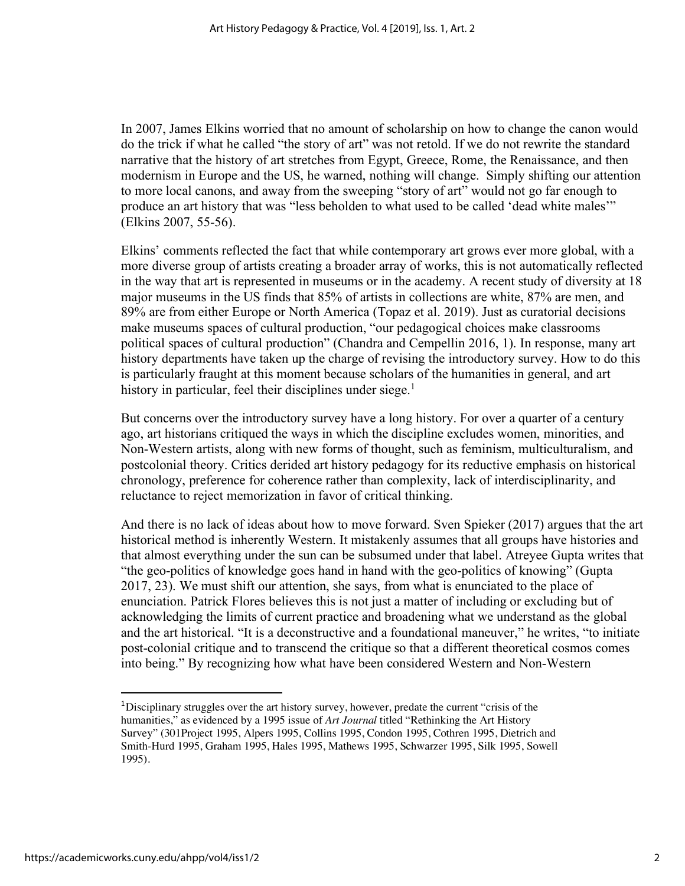In 2007, James Elkins worried that no amount of scholarship on how to change the canon would do the trick if what he called "the story of art" was not retold. If we do not rewrite the standard narrative that the history of art stretches from Egypt, Greece, Rome, the Renaissance, and then modernism in Europe and the US, he warned, nothing will change. Simply shifting our attention to more local canons, and away from the sweeping "story of art" would not go far enough to produce an art history that was "less beholden to what used to be called 'dead white males'" (Elkins 2007, 55-56).

Elkins' comments reflected the fact that while contemporary art grows ever more global, with a more diverse group of artists creating a broader array of works, this is not automatically reflected in the way that art is represented in museums or in the academy. A recent study of diversity at 18 major museums in the US finds that 85% of artists in collections are white, 87% are men, and 89% are from either Europe or North America (Topaz et al. 2019). Just as curatorial decisions make museums spaces of cultural production, "our pedagogical choices make classrooms political spaces of cultural production" (Chandra and Cempellin 2016, 1). In response, many art history departments have taken up the charge of revising the introductory survey. How to do this is particularly fraught at this moment because scholars of the humanities in general, and art history in particular, feel their disciplines under siege.<sup>1</sup>

But concerns over the introductory survey have a long history. For over a quarter of a century ago, art historians critiqued the ways in which the discipline excludes women, minorities, and Non-Western artists, along with new forms of thought, such as feminism, multiculturalism, and postcolonial theory. Critics derided art history pedagogy for its reductive emphasis on historical chronology, preference for coherence rather than complexity, lack of interdisciplinarity, and reluctance to reject memorization in favor of critical thinking.

And there is no lack of ideas about how to move forward. Sven Spieker (2017) argues that the art historical method is inherently Western. It mistakenly assumes that all groups have histories and that almost everything under the sun can be subsumed under that label. Atreyee Gupta writes that "the geo-politics of knowledge goes hand in hand with the geo-politics of knowing" (Gupta 2017, 23). We must shift our attention, she says, from what is enunciated to the place of enunciation. Patrick Flores believes this is not just a matter of including or excluding but of acknowledging the limits of current practice and broadening what we understand as the global and the art historical. "It is a deconstructive and a foundational maneuver," he writes, "to initiate post-colonial critique and to transcend the critique so that a different theoretical cosmos comes into being." By recognizing how what have been considered Western and Non-Western

<sup>&</sup>lt;sup>1</sup>Disciplinary struggles over the art history survey, however, predate the current "crisis of the humanities," as evidenced by a 1995 issue of *Art Journal* titled "Rethinking the Art History Survey" (301Project 1995, Alpers 1995, Collins 1995, Condon 1995, Cothren 1995, Dietrich and Smith-Hurd 1995, Graham 1995, Hales 1995, Mathews 1995, Schwarzer 1995, Silk 1995, Sowell 1995).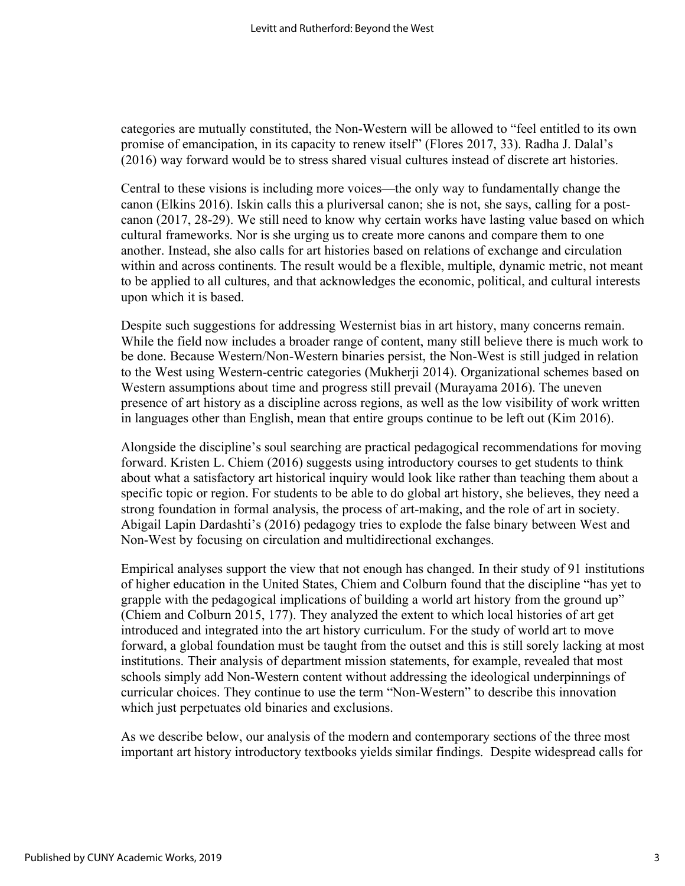categories are mutually constituted, the Non-Western will be allowed to "feel entitled to its own promise of emancipation, in its capacity to renew itself" (Flores 2017, 33). Radha J. Dalal's (2016) way forward would be to stress shared visual cultures instead of discrete art histories.

Central to these visions is including more voices—the only way to fundamentally change the canon (Elkins 2016). Iskin calls this a pluriversal canon; she is not, she says, calling for a postcanon (2017, 28-29). We still need to know why certain works have lasting value based on which cultural frameworks. Nor is she urging us to create more canons and compare them to one another. Instead, she also calls for art histories based on relations of exchange and circulation within and across continents. The result would be a flexible, multiple, dynamic metric, not meant to be applied to all cultures, and that acknowledges the economic, political, and cultural interests upon which it is based.

Despite such suggestions for addressing Westernist bias in art history, many concerns remain. While the field now includes a broader range of content, many still believe there is much work to be done. Because Western/Non-Western binaries persist, the Non-West is still judged in relation to the West using Western-centric categories (Mukherji 2014). Organizational schemes based on Western assumptions about time and progress still prevail (Murayama 2016). The uneven presence of art history as a discipline across regions, as well as the low visibility of work written in languages other than English, mean that entire groups continue to be left out (Kim 2016).

Alongside the discipline's soul searching are practical pedagogical recommendations for moving forward. Kristen L. Chiem (2016) suggests using introductory courses to get students to think about what a satisfactory art historical inquiry would look like rather than teaching them about a specific topic or region. For students to be able to do global art history, she believes, they need a strong foundation in formal analysis, the process of art-making, and the role of art in society. Abigail Lapin Dardashti's (2016) pedagogy tries to explode the false binary between West and Non-West by focusing on circulation and multidirectional exchanges.

Empirical analyses support the view that not enough has changed. In their study of 91 institutions of higher education in the United States, Chiem and Colburn found that the discipline "has yet to grapple with the pedagogical implications of building a world art history from the ground up" (Chiem and Colburn 2015, 177). They analyzed the extent to which local histories of art get introduced and integrated into the art history curriculum. For the study of world art to move forward, a global foundation must be taught from the outset and this is still sorely lacking at most institutions. Their analysis of department mission statements, for example, revealed that most schools simply add Non-Western content without addressing the ideological underpinnings of curricular choices. They continue to use the term "Non-Western" to describe this innovation which just perpetuates old binaries and exclusions.

As we describe below, our analysis of the modern and contemporary sections of the three most important art history introductory textbooks yields similar findings. Despite widespread calls for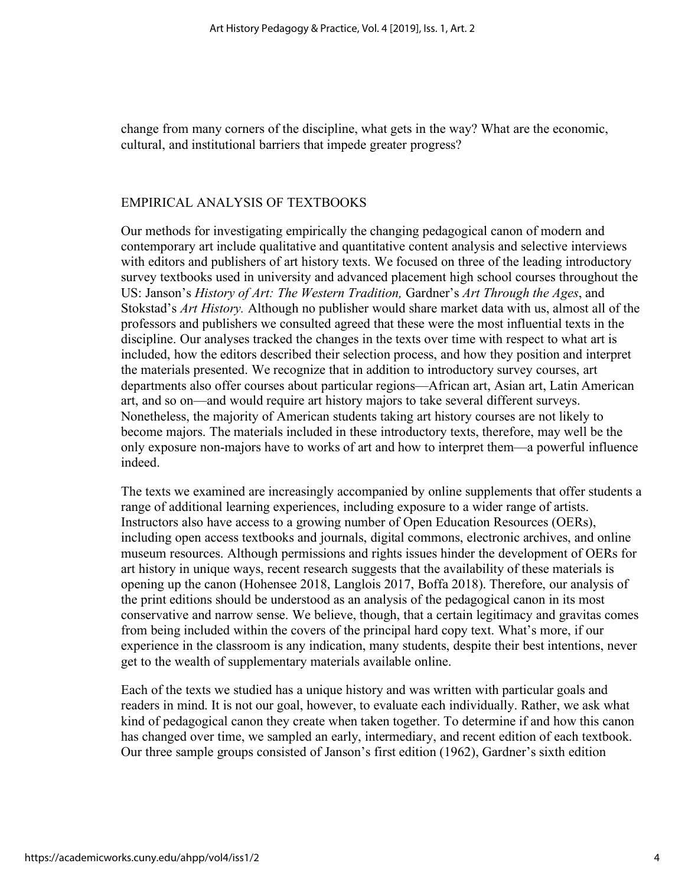change from many corners of the discipline, what gets in the way? What are the economic, cultural, and institutional barriers that impede greater progress?

#### EMPIRICAL ANALYSIS OF TEXTBOOKS

Our methods for investigating empirically the changing pedagogical canon of modern and contemporary art include qualitative and quantitative content analysis and selective interviews with editors and publishers of art history texts. We focused on three of the leading introductory survey textbooks used in university and advanced placement high school courses throughout the US: Janson's *History of Art: The Western Tradition,* Gardner's *Art Through the Ages*, and Stokstad's *Art History.* Although no publisher would share market data with us, almost all of the professors and publishers we consulted agreed that these were the most influential texts in the discipline. Our analyses tracked the changes in the texts over time with respect to what art is included, how the editors described their selection process, and how they position and interpret the materials presented. We recognize that in addition to introductory survey courses, art departments also offer courses about particular regions—African art, Asian art, Latin American art, and so on—and would require art history majors to take several different surveys. Nonetheless, the majority of American students taking art history courses are not likely to become majors. The materials included in these introductory texts, therefore, may well be the only exposure non-majors have to works of art and how to interpret them—a powerful influence indeed.

The texts we examined are increasingly accompanied by online supplements that offer students a range of additional learning experiences, including exposure to a wider range of artists. Instructors also have access to a growing number of Open Education Resources (OERs), including open access textbooks and journals, digital commons, electronic archives, and online museum resources. Although permissions and rights issues hinder the development of OERs for art history in unique ways, recent research suggests that the availability of these materials is opening up the canon (Hohensee 2018, Langlois 2017, Boffa 2018). Therefore, our analysis of the print editions should be understood as an analysis of the pedagogical canon in its most conservative and narrow sense. We believe, though, that a certain legitimacy and gravitas comes from being included within the covers of the principal hard copy text. What's more, if our experience in the classroom is any indication, many students, despite their best intentions, never get to the wealth of supplementary materials available online.

Each of the texts we studied has a unique history and was written with particular goals and readers in mind. It is not our goal, however, to evaluate each individually. Rather, we ask what kind of pedagogical canon they create when taken together. To determine if and how this canon has changed over time, we sampled an early, intermediary, and recent edition of each textbook. Our three sample groups consisted of Janson's first edition (1962), Gardner's sixth edition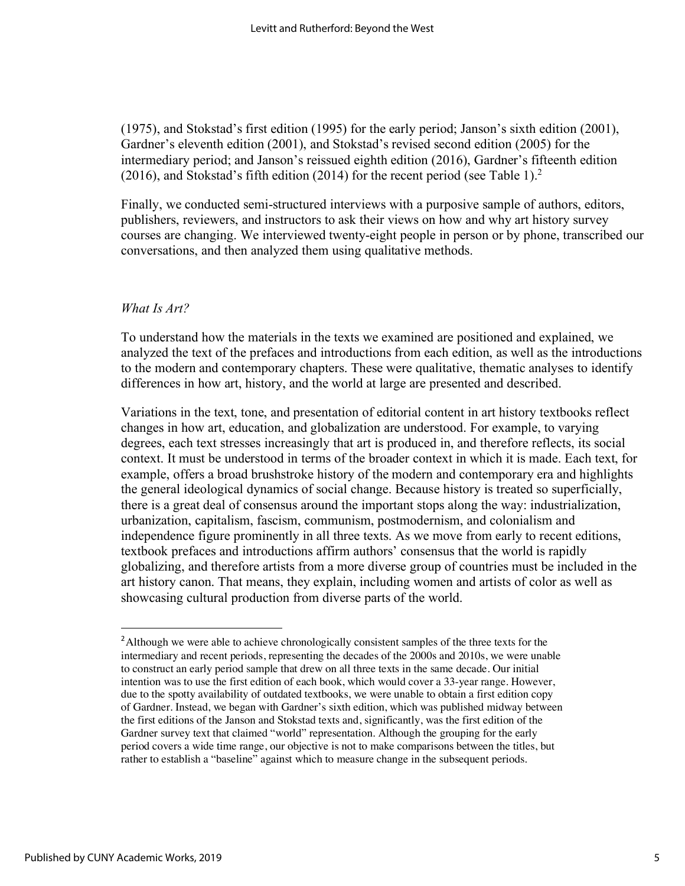(1975), and Stokstad's first edition (1995) for the early period; Janson's sixth edition (2001), Gardner's eleventh edition (2001), and Stokstad's revised second edition (2005) for the intermediary period; and Janson's reissued eighth edition (2016), Gardner's fifteenth edition (2016), and Stokstad's fifth edition (2014) for the recent period (see Table 1).<sup>2</sup>

Finally, we conducted semi-structured interviews with a purposive sample of authors, editors, publishers, reviewers, and instructors to ask their views on how and why art history survey courses are changing. We interviewed twenty-eight people in person or by phone, transcribed our conversations, and then analyzed them using qualitative methods.

#### *What Is Art?*

To understand how the materials in the texts we examined are positioned and explained, we analyzed the text of the prefaces and introductions from each edition, as well as the introductions to the modern and contemporary chapters. These were qualitative, thematic analyses to identify differences in how art, history, and the world at large are presented and described.

Variations in the text, tone, and presentation of editorial content in art history textbooks reflect changes in how art, education, and globalization are understood. For example, to varying degrees, each text stresses increasingly that art is produced in, and therefore reflects, its social context. It must be understood in terms of the broader context in which it is made. Each text, for example, offers a broad brushstroke history of the modern and contemporary era and highlights the general ideological dynamics of social change. Because history is treated so superficially, there is a great deal of consensus around the important stops along the way: industrialization, urbanization, capitalism, fascism, communism, postmodernism, and colonialism and independence figure prominently in all three texts. As we move from early to recent editions, textbook prefaces and introductions affirm authors' consensus that the world is rapidly globalizing, and therefore artists from a more diverse group of countries must be included in the art history canon. That means, they explain, including women and artists of color as well as showcasing cultural production from diverse parts of the world.

<sup>&</sup>lt;sup>2</sup> Although we were able to achieve chronologically consistent samples of the three texts for the intermediary and recent periods, representing the decades of the 2000s and 2010s, we were unable to construct an early period sample that drew on all three texts in the same decade. Our initial intention was to use the first edition of each book, which would cover a 33-year range. However, due to the spotty availability of outdated textbooks, we were unable to obtain a first edition copy of Gardner. Instead, we began with Gardner's sixth edition, which was published midway between the first editions of the Janson and Stokstad texts and, significantly, was the first edition of the Gardner survey text that claimed "world" representation. Although the grouping for the early period covers a wide time range, our objective is not to make comparisons between the titles, but rather to establish a "baseline" against which to measure change in the subsequent periods.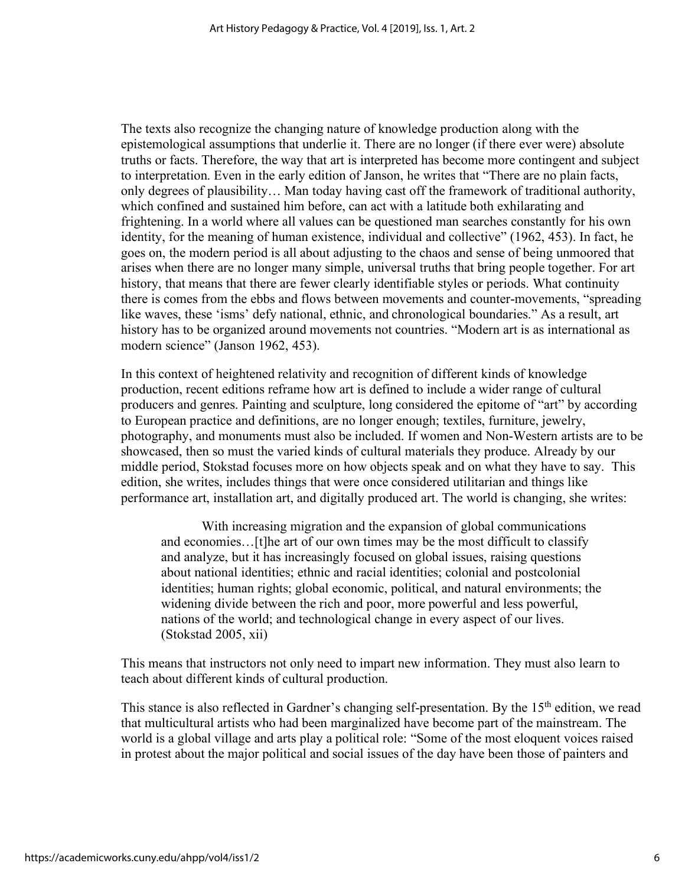The texts also recognize the changing nature of knowledge production along with the epistemological assumptions that underlie it. There are no longer (if there ever were) absolute truths or facts. Therefore, the way that art is interpreted has become more contingent and subject to interpretation. Even in the early edition of Janson, he writes that "There are no plain facts, only degrees of plausibility… Man today having cast off the framework of traditional authority, which confined and sustained him before, can act with a latitude both exhilarating and frightening. In a world where all values can be questioned man searches constantly for his own identity, for the meaning of human existence, individual and collective" (1962, 453). In fact, he goes on, the modern period is all about adjusting to the chaos and sense of being unmoored that arises when there are no longer many simple, universal truths that bring people together. For art history, that means that there are fewer clearly identifiable styles or periods. What continuity there is comes from the ebbs and flows between movements and counter-movements, "spreading like waves, these 'isms' defy national, ethnic, and chronological boundaries." As a result, art history has to be organized around movements not countries. "Modern art is as international as modern science" (Janson 1962, 453).

In this context of heightened relativity and recognition of different kinds of knowledge production, recent editions reframe how art is defined to include a wider range of cultural producers and genres. Painting and sculpture, long considered the epitome of "art" by according to European practice and definitions, are no longer enough; textiles, furniture, jewelry, photography, and monuments must also be included. If women and Non-Western artists are to be showcased, then so must the varied kinds of cultural materials they produce. Already by our middle period, Stokstad focuses more on how objects speak and on what they have to say. This edition, she writes, includes things that were once considered utilitarian and things like performance art, installation art, and digitally produced art. The world is changing, she writes:

 With increasing migration and the expansion of global communications and economies…[t]he art of our own times may be the most difficult to classify and analyze, but it has increasingly focused on global issues, raising questions about national identities; ethnic and racial identities; colonial and postcolonial identities; human rights; global economic, political, and natural environments; the widening divide between the rich and poor, more powerful and less powerful, nations of the world; and technological change in every aspect of our lives. (Stokstad 2005, xii)

This means that instructors not only need to impart new information. They must also learn to teach about different kinds of cultural production.

This stance is also reflected in Gardner's changing self-presentation. By the 15<sup>th</sup> edition, we read that multicultural artists who had been marginalized have become part of the mainstream. The world is a global village and arts play a political role: "Some of the most eloquent voices raised in protest about the major political and social issues of the day have been those of painters and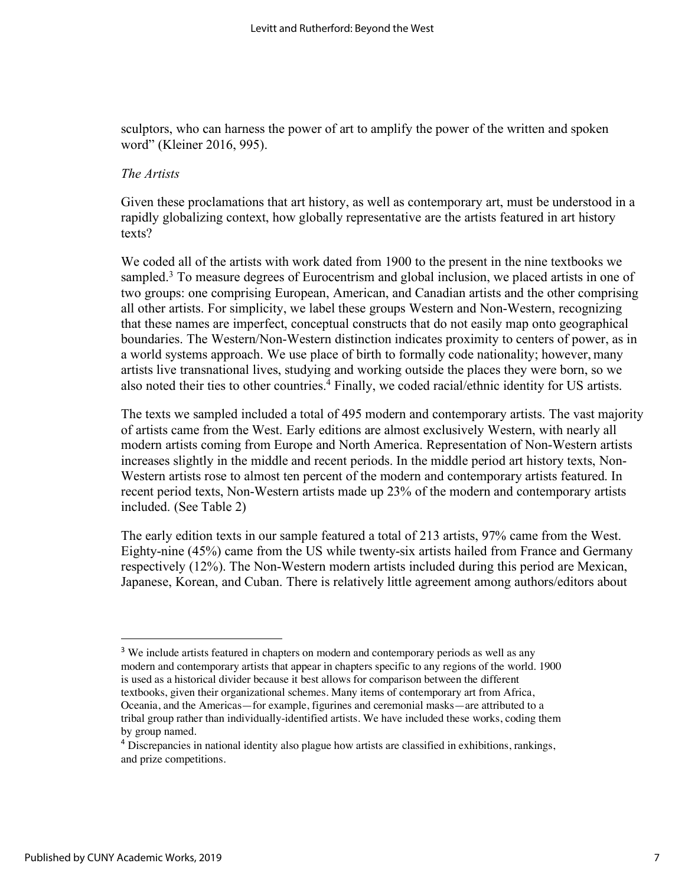sculptors, who can harness the power of art to amplify the power of the written and spoken word" (Kleiner 2016, 995).

#### *The Artists*

Given these proclamations that art history, as well as contemporary art, must be understood in a rapidly globalizing context, how globally representative are the artists featured in art history texts?

We coded all of the artists with work dated from 1900 to the present in the nine textbooks we sampled.<sup>3</sup> To measure degrees of Eurocentrism and global inclusion, we placed artists in one of two groups: one comprising European, American, and Canadian artists and the other comprising all other artists. For simplicity, we label these groups Western and Non-Western, recognizing that these names are imperfect, conceptual constructs that do not easily map onto geographical boundaries. The Western/Non-Western distinction indicates proximity to centers of power, as in a world systems approach. We use place of birth to formally code nationality; however, many artists live transnational lives, studying and working outside the places they were born, so we also noted their ties to other countries.<sup>4</sup> Finally, we coded racial/ethnic identity for US artists.

The texts we sampled included a total of 495 modern and contemporary artists. The vast majority of artists came from the West. Early editions are almost exclusively Western, with nearly all modern artists coming from Europe and North America. Representation of Non-Western artists increases slightly in the middle and recent periods. In the middle period art history texts, Non-Western artists rose to almost ten percent of the modern and contemporary artists featured. In recent period texts, Non-Western artists made up 23% of the modern and contemporary artists included. (See Table 2)

The early edition texts in our sample featured a total of 213 artists, 97% came from the West. Eighty-nine (45%) came from the US while twenty-six artists hailed from France and Germany respectively (12%). The Non-Western modern artists included during this period are Mexican, Japanese, Korean, and Cuban. There is relatively little agreement among authors/editors about

<sup>&</sup>lt;sup>3</sup> We include artists featured in chapters on modern and contemporary periods as well as any modern and contemporary artists that appear in chapters specific to any regions of the world. 1900 is used as a historical divider because it best allows for comparison between the different textbooks, given their organizational schemes. Many items of contemporary art from Africa, Oceania, and the Americas—for example, figurines and ceremonial masks—are attributed to a tribal group rather than individually-identified artists. We have included these works, coding them by group named.

<sup>4</sup> Discrepancies in national identity also plague how artists are classified in exhibitions, rankings, and prize competitions.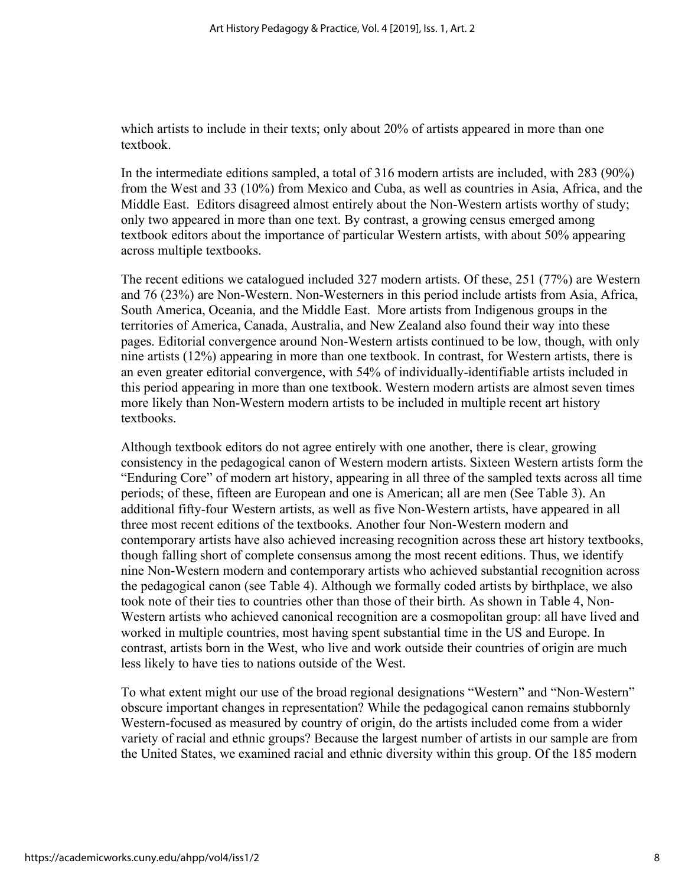which artists to include in their texts; only about 20% of artists appeared in more than one textbook.

In the intermediate editions sampled, a total of 316 modern artists are included, with 283 (90%) from the West and 33 (10%) from Mexico and Cuba, as well as countries in Asia, Africa, and the Middle East. Editors disagreed almost entirely about the Non-Western artists worthy of study; only two appeared in more than one text. By contrast, a growing census emerged among textbook editors about the importance of particular Western artists, with about 50% appearing across multiple textbooks.

The recent editions we catalogued included 327 modern artists. Of these, 251 (77%) are Western and 76 (23%) are Non-Western. Non-Westerners in this period include artists from Asia, Africa, South America, Oceania, and the Middle East. More artists from Indigenous groups in the territories of America, Canada, Australia, and New Zealand also found their way into these pages. Editorial convergence around Non-Western artists continued to be low, though, with only nine artists (12%) appearing in more than one textbook. In contrast, for Western artists, there is an even greater editorial convergence, with 54% of individually-identifiable artists included in this period appearing in more than one textbook. Western modern artists are almost seven times more likely than Non-Western modern artists to be included in multiple recent art history textbooks.

Although textbook editors do not agree entirely with one another, there is clear, growing consistency in the pedagogical canon of Western modern artists. Sixteen Western artists form the "Enduring Core" of modern art history, appearing in all three of the sampled texts across all time periods; of these, fifteen are European and one is American; all are men (See Table 3). An additional fifty-four Western artists, as well as five Non-Western artists, have appeared in all three most recent editions of the textbooks. Another four Non-Western modern and contemporary artists have also achieved increasing recognition across these art history textbooks, though falling short of complete consensus among the most recent editions. Thus, we identify nine Non-Western modern and contemporary artists who achieved substantial recognition across the pedagogical canon (see Table 4). Although we formally coded artists by birthplace, we also took note of their ties to countries other than those of their birth. As shown in Table 4, Non-Western artists who achieved canonical recognition are a cosmopolitan group: all have lived and worked in multiple countries, most having spent substantial time in the US and Europe. In contrast, artists born in the West, who live and work outside their countries of origin are much less likely to have ties to nations outside of the West.

To what extent might our use of the broad regional designations "Western" and "Non-Western" obscure important changes in representation? While the pedagogical canon remains stubbornly Western-focused as measured by country of origin, do the artists included come from a wider variety of racial and ethnic groups? Because the largest number of artists in our sample are from the United States, we examined racial and ethnic diversity within this group. Of the 185 modern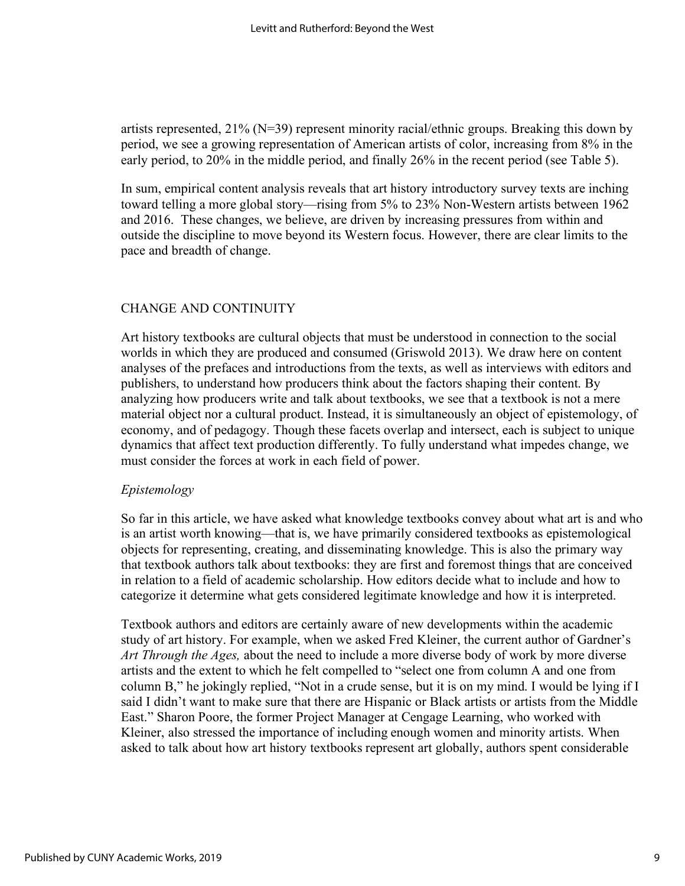artists represented, 21% (N=39) represent minority racial/ethnic groups. Breaking this down by period, we see a growing representation of American artists of color, increasing from 8% in the early period, to 20% in the middle period, and finally 26% in the recent period (see Table 5).

In sum, empirical content analysis reveals that art history introductory survey texts are inching toward telling a more global story—rising from 5% to 23% Non-Western artists between 1962 and 2016. These changes, we believe, are driven by increasing pressures from within and outside the discipline to move beyond its Western focus. However, there are clear limits to the pace and breadth of change.

## CHANGE AND CONTINUITY

Art history textbooks are cultural objects that must be understood in connection to the social worlds in which they are produced and consumed (Griswold 2013). We draw here on content analyses of the prefaces and introductions from the texts, as well as interviews with editors and publishers, to understand how producers think about the factors shaping their content. By analyzing how producers write and talk about textbooks, we see that a textbook is not a mere material object nor a cultural product. Instead, it is simultaneously an object of epistemology, of economy, and of pedagogy. Though these facets overlap and intersect, each is subject to unique dynamics that affect text production differently. To fully understand what impedes change, we must consider the forces at work in each field of power.

### *Epistemology*

So far in this article, we have asked what knowledge textbooks convey about what art is and who is an artist worth knowing—that is, we have primarily considered textbooks as epistemological objects for representing, creating, and disseminating knowledge. This is also the primary way that textbook authors talk about textbooks: they are first and foremost things that are conceived in relation to a field of academic scholarship. How editors decide what to include and how to categorize it determine what gets considered legitimate knowledge and how it is interpreted.

Textbook authors and editors are certainly aware of new developments within the academic study of art history. For example, when we asked Fred Kleiner, the current author of Gardner's *Art Through the Ages,* about the need to include a more diverse body of work by more diverse artists and the extent to which he felt compelled to "select one from column A and one from column B," he jokingly replied, "Not in a crude sense, but it is on my mind. I would be lying if I said I didn't want to make sure that there are Hispanic or Black artists or artists from the Middle East." Sharon Poore, the former Project Manager at Cengage Learning, who worked with Kleiner, also stressed the importance of including enough women and minority artists. When asked to talk about how art history textbooks represent art globally, authors spent considerable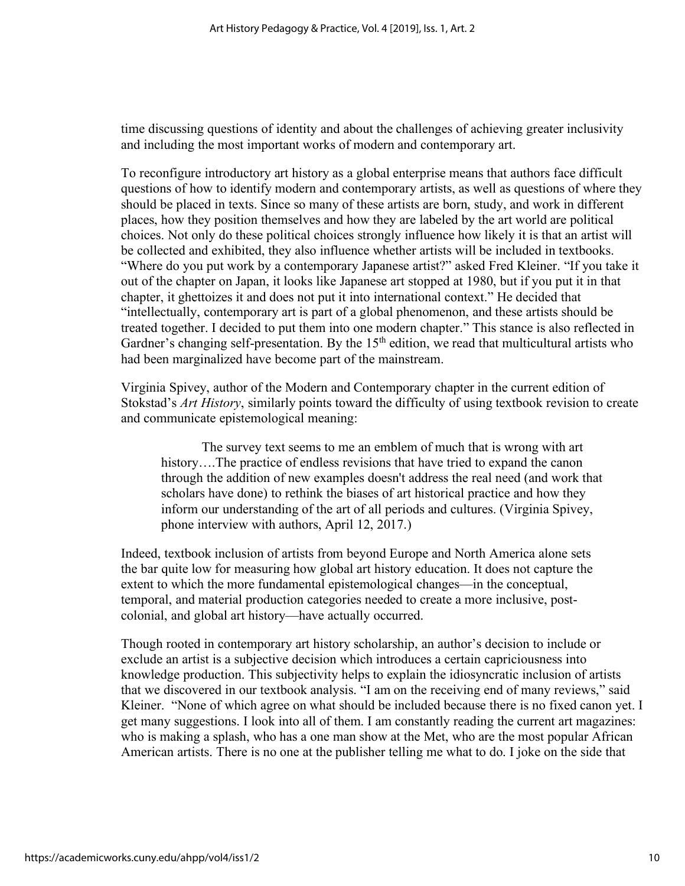time discussing questions of identity and about the challenges of achieving greater inclusivity and including the most important works of modern and contemporary art.

To reconfigure introductory art history as a global enterprise means that authors face difficult questions of how to identify modern and contemporary artists, as well as questions of where they should be placed in texts. Since so many of these artists are born, study, and work in different places, how they position themselves and how they are labeled by the art world are political choices. Not only do these political choices strongly influence how likely it is that an artist will be collected and exhibited, they also influence whether artists will be included in textbooks. "Where do you put work by a contemporary Japanese artist?" asked Fred Kleiner. "If you take it out of the chapter on Japan, it looks like Japanese art stopped at 1980, but if you put it in that chapter, it ghettoizes it and does not put it into international context." He decided that "intellectually, contemporary art is part of a global phenomenon, and these artists should be treated together. I decided to put them into one modern chapter." This stance is also reflected in Gardner's changing self-presentation. By the  $15<sup>th</sup>$  edition, we read that multicultural artists who had been marginalized have become part of the mainstream.

Virginia Spivey, author of the Modern and Contemporary chapter in the current edition of Stokstad's *Art History*, similarly points toward the difficulty of using textbook revision to create and communicate epistemological meaning:

 The survey text seems to me an emblem of much that is wrong with art history....The practice of endless revisions that have tried to expand the canon through the addition of new examples doesn't address the real need (and work that scholars have done) to rethink the biases of art historical practice and how they inform our understanding of the art of all periods and cultures. (Virginia Spivey, phone interview with authors, April 12, 2017.)

Indeed, textbook inclusion of artists from beyond Europe and North America alone sets the bar quite low for measuring how global art history education. It does not capture the extent to which the more fundamental epistemological changes—in the conceptual, temporal, and material production categories needed to create a more inclusive, postcolonial, and global art history—have actually occurred.

Though rooted in contemporary art history scholarship, an author's decision to include or exclude an artist is a subjective decision which introduces a certain capriciousness into knowledge production. This subjectivity helps to explain the idiosyncratic inclusion of artists that we discovered in our textbook analysis. "I am on the receiving end of many reviews," said Kleiner. "None of which agree on what should be included because there is no fixed canon yet. I get many suggestions. I look into all of them. I am constantly reading the current art magazines: who is making a splash, who has a one man show at the Met, who are the most popular African American artists. There is no one at the publisher telling me what to do. I joke on the side that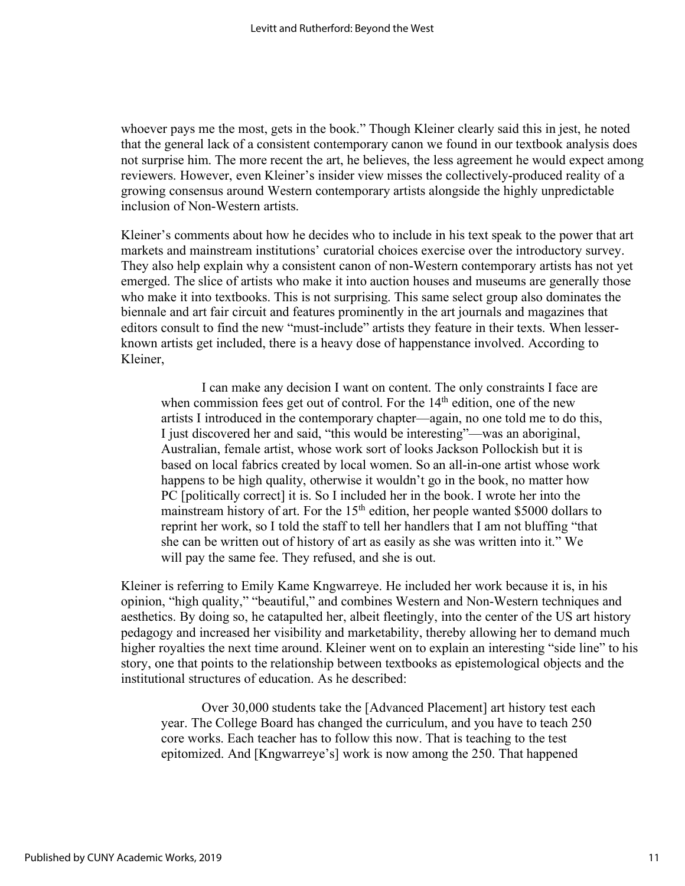whoever pays me the most, gets in the book." Though Kleiner clearly said this in jest, he noted that the general lack of a consistent contemporary canon we found in our textbook analysis does not surprise him. The more recent the art, he believes, the less agreement he would expect among reviewers. However, even Kleiner's insider view misses the collectively-produced reality of a growing consensus around Western contemporary artists alongside the highly unpredictable inclusion of Non-Western artists.

Kleiner's comments about how he decides who to include in his text speak to the power that art markets and mainstream institutions' curatorial choices exercise over the introductory survey. They also help explain why a consistent canon of non-Western contemporary artists has not yet emerged. The slice of artists who make it into auction houses and museums are generally those who make it into textbooks. This is not surprising. This same select group also dominates the biennale and art fair circuit and features prominently in the art journals and magazines that editors consult to find the new "must-include" artists they feature in their texts. When lesserknown artists get included, there is a heavy dose of happenstance involved. According to Kleiner,

 I can make any decision I want on content. The only constraints I face are when commission fees get out of control. For the  $14<sup>th</sup>$  edition, one of the new artists I introduced in the contemporary chapter—again, no one told me to do this, I just discovered her and said, "this would be interesting"—was an aboriginal, Australian, female artist, whose work sort of looks Jackson Pollockish but it is based on local fabrics created by local women. So an all-in-one artist whose work happens to be high quality, otherwise it wouldn't go in the book, no matter how PC [politically correct] it is. So I included her in the book. I wrote her into the mainstream history of art. For the 15<sup>th</sup> edition, her people wanted \$5000 dollars to reprint her work, so I told the staff to tell her handlers that I am not bluffing "that she can be written out of history of art as easily as she was written into it." We will pay the same fee. They refused, and she is out.

Kleiner is referring to Emily Kame Kngwarreye. He included her work because it is, in his opinion, "high quality," "beautiful," and combines Western and Non-Western techniques and aesthetics. By doing so, he catapulted her, albeit fleetingly, into the center of the US art history pedagogy and increased her visibility and marketability, thereby allowing her to demand much higher royalties the next time around. Kleiner went on to explain an interesting "side line" to his story, one that points to the relationship between textbooks as epistemological objects and the institutional structures of education. As he described:

 Over 30,000 students take the [Advanced Placement] art history test each year. The College Board has changed the curriculum, and you have to teach 250 core works. Each teacher has to follow this now. That is teaching to the test epitomized. And [Kngwarreye's] work is now among the 250. That happened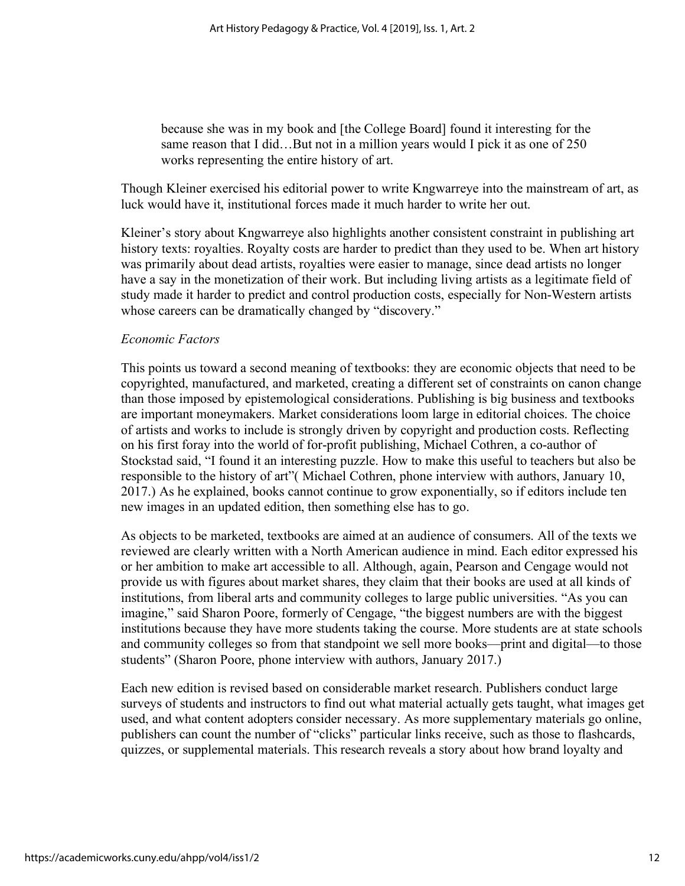because she was in my book and [the College Board] found it interesting for the same reason that I did...But not in a million years would I pick it as one of 250 works representing the entire history of art.

Though Kleiner exercised his editorial power to write Kngwarreye into the mainstream of art, as luck would have it, institutional forces made it much harder to write her out.

Kleiner's story about Kngwarreye also highlights another consistent constraint in publishing art history texts: royalties. Royalty costs are harder to predict than they used to be. When art history was primarily about dead artists, royalties were easier to manage, since dead artists no longer have a say in the monetization of their work. But including living artists as a legitimate field of study made it harder to predict and control production costs, especially for Non-Western artists whose careers can be dramatically changed by "discovery."

#### *Economic Factors*

This points us toward a second meaning of textbooks: they are economic objects that need to be copyrighted, manufactured, and marketed, creating a different set of constraints on canon change than those imposed by epistemological considerations. Publishing is big business and textbooks are important moneymakers. Market considerations loom large in editorial choices. The choice of artists and works to include is strongly driven by copyright and production costs. Reflecting on his first foray into the world of for-profit publishing, Michael Cothren, a co-author of Stockstad said, "I found it an interesting puzzle. How to make this useful to teachers but also be responsible to the history of art"( Michael Cothren, phone interview with authors, January 10, 2017.) As he explained, books cannot continue to grow exponentially, so if editors include ten new images in an updated edition, then something else has to go.

As objects to be marketed, textbooks are aimed at an audience of consumers. All of the texts we reviewed are clearly written with a North American audience in mind. Each editor expressed his or her ambition to make art accessible to all. Although, again, Pearson and Cengage would not provide us with figures about market shares, they claim that their books are used at all kinds of institutions, from liberal arts and community colleges to large public universities. "As you can imagine," said Sharon Poore, formerly of Cengage, "the biggest numbers are with the biggest institutions because they have more students taking the course. More students are at state schools and community colleges so from that standpoint we sell more books—print and digital—to those students" (Sharon Poore, phone interview with authors, January 2017.)

Each new edition is revised based on considerable market research. Publishers conduct large surveys of students and instructors to find out what material actually gets taught, what images get used, and what content adopters consider necessary. As more supplementary materials go online, publishers can count the number of "clicks" particular links receive, such as those to flashcards, quizzes, or supplemental materials. This research reveals a story about how brand loyalty and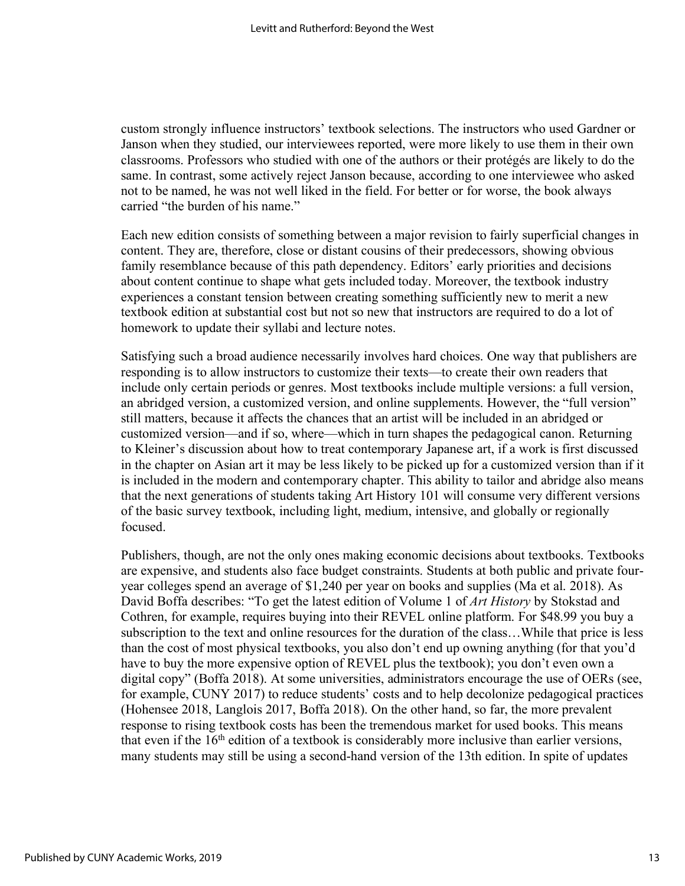custom strongly influence instructors' textbook selections. The instructors who used Gardner or Janson when they studied, our interviewees reported, were more likely to use them in their own classrooms. Professors who studied with one of the authors or their protégés are likely to do the same. In contrast, some actively reject Janson because, according to one interviewee who asked not to be named, he was not well liked in the field. For better or for worse, the book always carried "the burden of his name."

Each new edition consists of something between a major revision to fairly superficial changes in content. They are, therefore, close or distant cousins of their predecessors, showing obvious family resemblance because of this path dependency. Editors' early priorities and decisions about content continue to shape what gets included today. Moreover, the textbook industry experiences a constant tension between creating something sufficiently new to merit a new textbook edition at substantial cost but not so new that instructors are required to do a lot of homework to update their syllabi and lecture notes.

Satisfying such a broad audience necessarily involves hard choices. One way that publishers are responding is to allow instructors to customize their texts—to create their own readers that include only certain periods or genres. Most textbooks include multiple versions: a full version, an abridged version, a customized version, and online supplements. However, the "full version" still matters, because it affects the chances that an artist will be included in an abridged or customized version—and if so, where—which in turn shapes the pedagogical canon. Returning to Kleiner's discussion about how to treat contemporary Japanese art, if a work is first discussed in the chapter on Asian art it may be less likely to be picked up for a customized version than if it is included in the modern and contemporary chapter. This ability to tailor and abridge also means that the next generations of students taking Art History 101 will consume very different versions of the basic survey textbook, including light, medium, intensive, and globally or regionally focused.

Publishers, though, are not the only ones making economic decisions about textbooks. Textbooks are expensive, and students also face budget constraints. Students at both public and private fouryear colleges spend an average of \$1,240 per year on books and supplies (Ma et al. 2018). As David Boffa describes: "To get the latest edition of Volume 1 of *Art History* by Stokstad and Cothren, for example, requires buying into their REVEL online platform. For \$48.99 you buy a subscription to the text and online resources for the duration of the class…While that price is less than the cost of most physical textbooks, you also don't end up owning anything (for that you'd have to buy the more expensive option of REVEL plus the textbook); you don't even own a digital copy" (Boffa 2018). At some universities, administrators encourage the use of OERs (see, for example, CUNY 2017) to reduce students' costs and to help decolonize pedagogical practices (Hohensee 2018, Langlois 2017, Boffa 2018). On the other hand, so far, the more prevalent response to rising textbook costs has been the tremendous market for used books. This means that even if the 16th edition of a textbook is considerably more inclusive than earlier versions, many students may still be using a second-hand version of the 13th edition. In spite of updates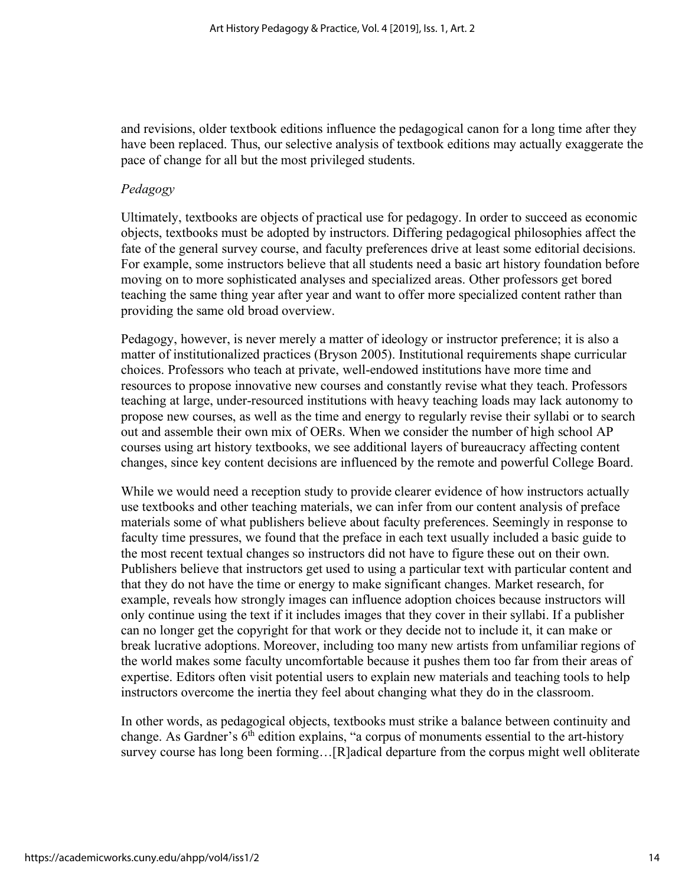and revisions, older textbook editions influence the pedagogical canon for a long time after they have been replaced. Thus, our selective analysis of textbook editions may actually exaggerate the pace of change for all but the most privileged students.

#### *Pedagogy*

Ultimately, textbooks are objects of practical use for pedagogy. In order to succeed as economic objects, textbooks must be adopted by instructors. Differing pedagogical philosophies affect the fate of the general survey course, and faculty preferences drive at least some editorial decisions. For example, some instructors believe that all students need a basic art history foundation before moving on to more sophisticated analyses and specialized areas. Other professors get bored teaching the same thing year after year and want to offer more specialized content rather than providing the same old broad overview.

Pedagogy, however, is never merely a matter of ideology or instructor preference; it is also a matter of institutionalized practices (Bryson 2005). Institutional requirements shape curricular choices. Professors who teach at private, well-endowed institutions have more time and resources to propose innovative new courses and constantly revise what they teach. Professors teaching at large, under-resourced institutions with heavy teaching loads may lack autonomy to propose new courses, as well as the time and energy to regularly revise their syllabi or to search out and assemble their own mix of OERs. When we consider the number of high school AP courses using art history textbooks, we see additional layers of bureaucracy affecting content changes, since key content decisions are influenced by the remote and powerful College Board.

While we would need a reception study to provide clearer evidence of how instructors actually use textbooks and other teaching materials, we can infer from our content analysis of preface materials some of what publishers believe about faculty preferences. Seemingly in response to faculty time pressures, we found that the preface in each text usually included a basic guide to the most recent textual changes so instructors did not have to figure these out on their own. Publishers believe that instructors get used to using a particular text with particular content and that they do not have the time or energy to make significant changes. Market research, for example, reveals how strongly images can influence adoption choices because instructors will only continue using the text if it includes images that they cover in their syllabi. If a publisher can no longer get the copyright for that work or they decide not to include it, it can make or break lucrative adoptions. Moreover, including too many new artists from unfamiliar regions of the world makes some faculty uncomfortable because it pushes them too far from their areas of expertise. Editors often visit potential users to explain new materials and teaching tools to help instructors overcome the inertia they feel about changing what they do in the classroom.

In other words, as pedagogical objects, textbooks must strike a balance between continuity and change. As Gardner's 6<sup>th</sup> edition explains, "a corpus of monuments essential to the art-history survey course has long been forming…[R]adical departure from the corpus might well obliterate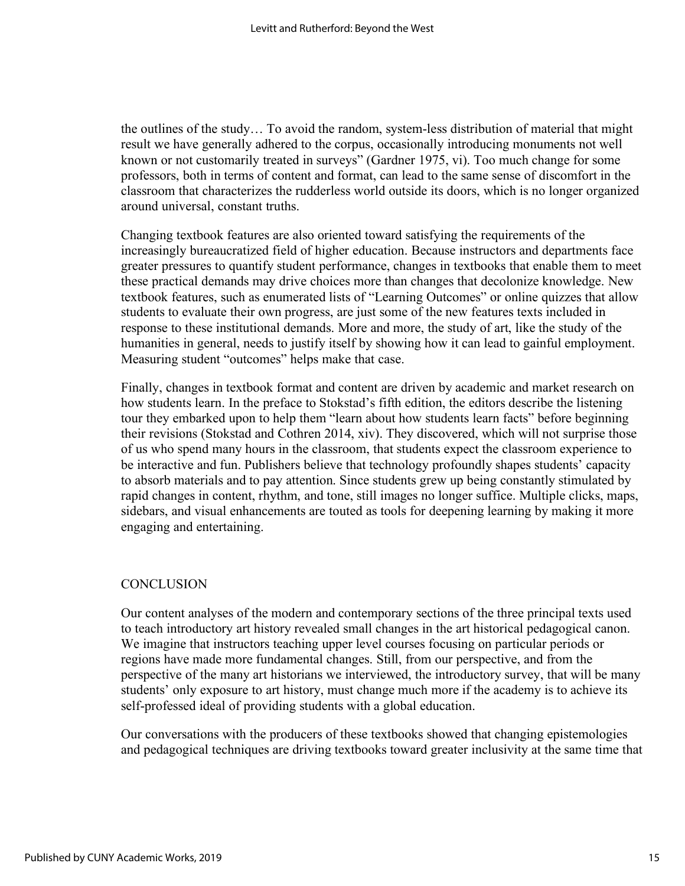the outlines of the study… To avoid the random, system-less distribution of material that might result we have generally adhered to the corpus, occasionally introducing monuments not well known or not customarily treated in surveys" (Gardner 1975, vi). Too much change for some professors, both in terms of content and format, can lead to the same sense of discomfort in the classroom that characterizes the rudderless world outside its doors, which is no longer organized around universal, constant truths.

Changing textbook features are also oriented toward satisfying the requirements of the increasingly bureaucratized field of higher education. Because instructors and departments face greater pressures to quantify student performance, changes in textbooks that enable them to meet these practical demands may drive choices more than changes that decolonize knowledge. New textbook features, such as enumerated lists of "Learning Outcomes" or online quizzes that allow students to evaluate their own progress, are just some of the new features texts included in response to these institutional demands. More and more, the study of art, like the study of the humanities in general, needs to justify itself by showing how it can lead to gainful employment. Measuring student "outcomes" helps make that case.

Finally, changes in textbook format and content are driven by academic and market research on how students learn. In the preface to Stokstad's fifth edition, the editors describe the listening tour they embarked upon to help them "learn about how students learn facts" before beginning their revisions (Stokstad and Cothren 2014, xiv). They discovered, which will not surprise those of us who spend many hours in the classroom, that students expect the classroom experience to be interactive and fun. Publishers believe that technology profoundly shapes students' capacity to absorb materials and to pay attention. Since students grew up being constantly stimulated by rapid changes in content, rhythm, and tone, still images no longer suffice. Multiple clicks, maps, sidebars, and visual enhancements are touted as tools for deepening learning by making it more engaging and entertaining.

### **CONCLUSION**

Our content analyses of the modern and contemporary sections of the three principal texts used to teach introductory art history revealed small changes in the art historical pedagogical canon. We imagine that instructors teaching upper level courses focusing on particular periods or regions have made more fundamental changes. Still, from our perspective, and from the perspective of the many art historians we interviewed, the introductory survey, that will be many students' only exposure to art history, must change much more if the academy is to achieve its self-professed ideal of providing students with a global education.

Our conversations with the producers of these textbooks showed that changing epistemologies and pedagogical techniques are driving textbooks toward greater inclusivity at the same time that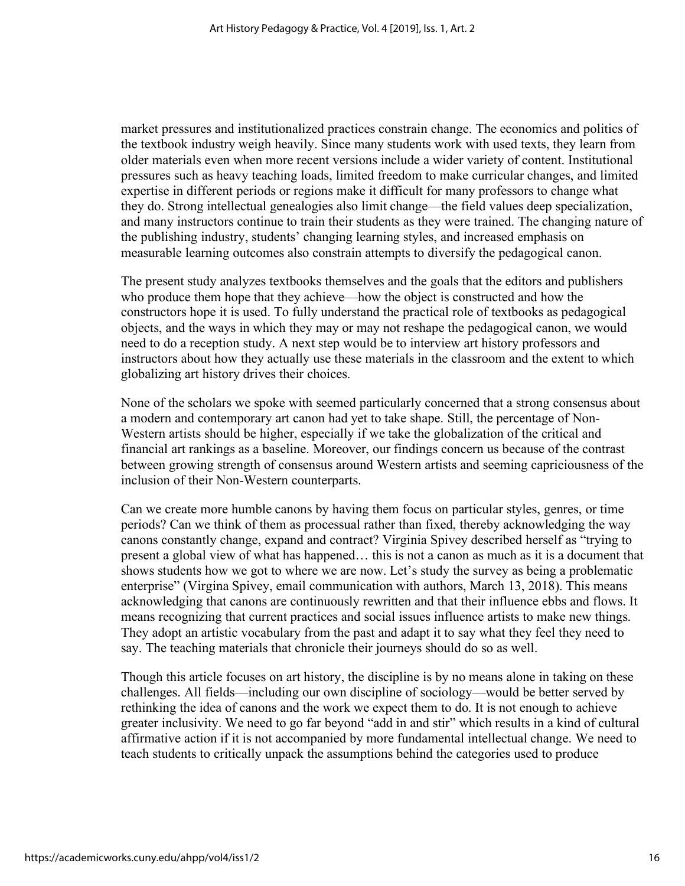market pressures and institutionalized practices constrain change. The economics and politics of the textbook industry weigh heavily. Since many students work with used texts, they learn from older materials even when more recent versions include a wider variety of content. Institutional pressures such as heavy teaching loads, limited freedom to make curricular changes, and limited expertise in different periods or regions make it difficult for many professors to change what they do. Strong intellectual genealogies also limit change—the field values deep specialization, and many instructors continue to train their students as they were trained. The changing nature of the publishing industry, students' changing learning styles, and increased emphasis on measurable learning outcomes also constrain attempts to diversify the pedagogical canon.

The present study analyzes textbooks themselves and the goals that the editors and publishers who produce them hope that they achieve—how the object is constructed and how the constructors hope it is used. To fully understand the practical role of textbooks as pedagogical objects, and the ways in which they may or may not reshape the pedagogical canon, we would need to do a reception study. A next step would be to interview art history professors and instructors about how they actually use these materials in the classroom and the extent to which globalizing art history drives their choices.

None of the scholars we spoke with seemed particularly concerned that a strong consensus about a modern and contemporary art canon had yet to take shape. Still, the percentage of Non-Western artists should be higher, especially if we take the globalization of the critical and financial art rankings as a baseline. Moreover, our findings concern us because of the contrast between growing strength of consensus around Western artists and seeming capriciousness of the inclusion of their Non-Western counterparts.

Can we create more humble canons by having them focus on particular styles, genres, or time periods? Can we think of them as processual rather than fixed, thereby acknowledging the way canons constantly change, expand and contract? Virginia Spivey described herself as "trying to present a global view of what has happened… this is not a canon as much as it is a document that shows students how we got to where we are now. Let's study the survey as being a problematic enterprise" (Virgina Spivey, email communication with authors, March 13, 2018). This means acknowledging that canons are continuously rewritten and that their influence ebbs and flows. It means recognizing that current practices and social issues influence artists to make new things. They adopt an artistic vocabulary from the past and adapt it to say what they feel they need to say. The teaching materials that chronicle their journeys should do so as well.

Though this article focuses on art history, the discipline is by no means alone in taking on these challenges. All fields—including our own discipline of sociology—would be better served by rethinking the idea of canons and the work we expect them to do. It is not enough to achieve greater inclusivity. We need to go far beyond "add in and stir" which results in a kind of cultural affirmative action if it is not accompanied by more fundamental intellectual change. We need to teach students to critically unpack the assumptions behind the categories used to produce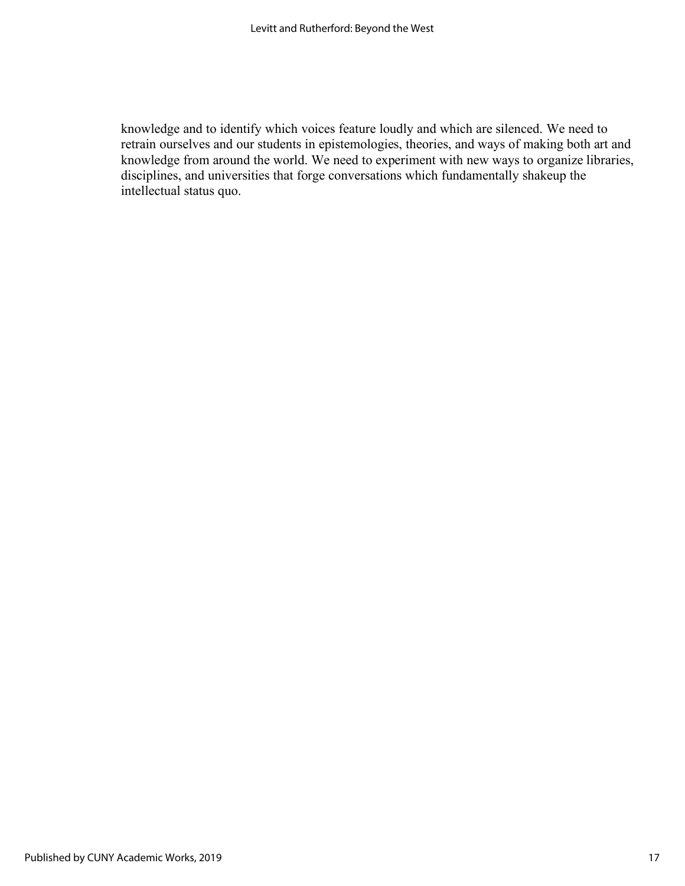knowledge and to identify which voices feature loudly and which are silenced. We need to retrain ourselves and our students in epistemologies, theories, and ways of making both art and knowledge from around the world. We need to experiment with new ways to organize libraries, disciplines, and universities that forge conversations which fundamentally shakeup the intellectual status quo.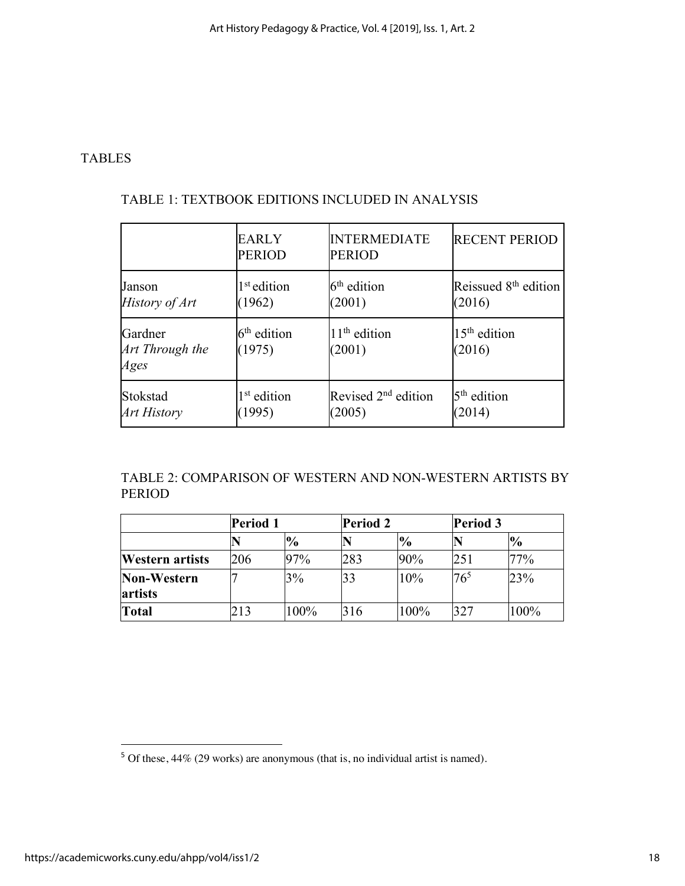### TABLES

|                                    | <b>EARLY</b><br><b>PERIOD</b> | <b>INTERMEDIATE</b><br><b>PERIOD</b> | <b>RECENT PERIOD</b>             |
|------------------------------------|-------------------------------|--------------------------------------|----------------------------------|
| Janson                             | 1 <sup>st</sup> edition       | $6th$ edition                        | Reissued 8 <sup>th</sup> edition |
| History of Art                     | (1962)                        | (2001)                               | (2016)                           |
| Gardner<br>Art Through the<br>Ages | $6th$ edition<br>(1975)       | $11th$ edition<br>(2001)             | $15th$ edition<br>(2016)         |
| Stokstad                           | 1 <sup>st</sup> edition       | Revised 2 <sup>nd</sup> edition      | $5th$ edition                    |
| <b>Art History</b>                 | (1995)                        | (2005)                               | (2014)                           |

## TABLE 1: TEXTBOOK EDITIONS INCLUDED IN ANALYSIS

TABLE 2: COMPARISON OF WESTERN AND NON-WESTERN ARTISTS BY PERIOD

|                        | <b>Period 1</b> |               |     | <b>Period 2</b> |                 | <b>Period 3</b> |  |
|------------------------|-----------------|---------------|-----|-----------------|-----------------|-----------------|--|
|                        |                 | $\frac{1}{2}$ |     | $\frac{1}{2}$   |                 | $\frac{1}{2}$   |  |
| <b>Western artists</b> | 206             | 97%           | 283 | 90%             | 251             | 77%             |  |
| Non-Western<br>artists |                 | 3%            | 33  | 10%             | 76 <sup>5</sup> | 23%             |  |
| <b>Total</b>           | 213             | 100%          | 316 | 100%            | 327             | 100%            |  |

 $5$  Of these, 44% (29 works) are anonymous (that is, no individual artist is named).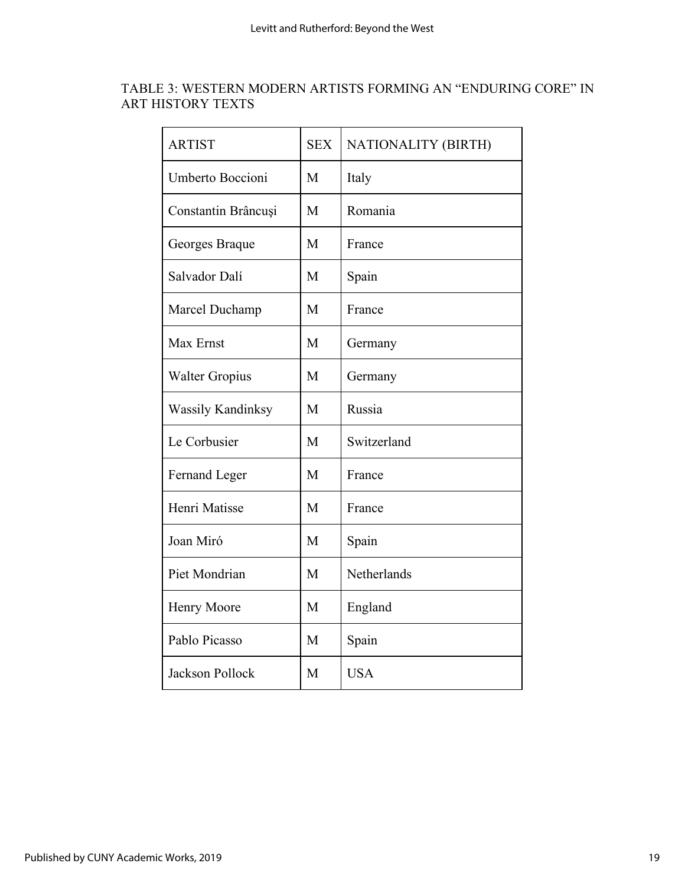## TABLE 3: WESTERN MODERN ARTISTS FORMING AN "ENDURING CORE" IN ART HISTORY TEXTS

| <b>ARTIST</b>            | <b>SEX</b> | NATIONALITY (BIRTH) |
|--------------------------|------------|---------------------|
| Umberto Boccioni         | M          | Italy               |
| Constantin Brâncuși      | M          | Romania             |
| Georges Braque           | M          | France              |
| Salvador Dalí            | M          | Spain               |
| Marcel Duchamp           | M          | France              |
| Max Ernst                | M          | Germany             |
| <b>Walter Gropius</b>    | M          | Germany             |
| <b>Wassily Kandinksy</b> | M          | Russia              |
| Le Corbusier             | M          | Switzerland         |
| Fernand Leger            | M          | France              |
| Henri Matisse            | M          | France              |
| Joan Miró                | M          | Spain               |
| Piet Mondrian            | M          | Netherlands         |
| Henry Moore              | M          | England             |
| Pablo Picasso            | M          | Spain               |
| <b>Jackson Pollock</b>   | M          | <b>USA</b>          |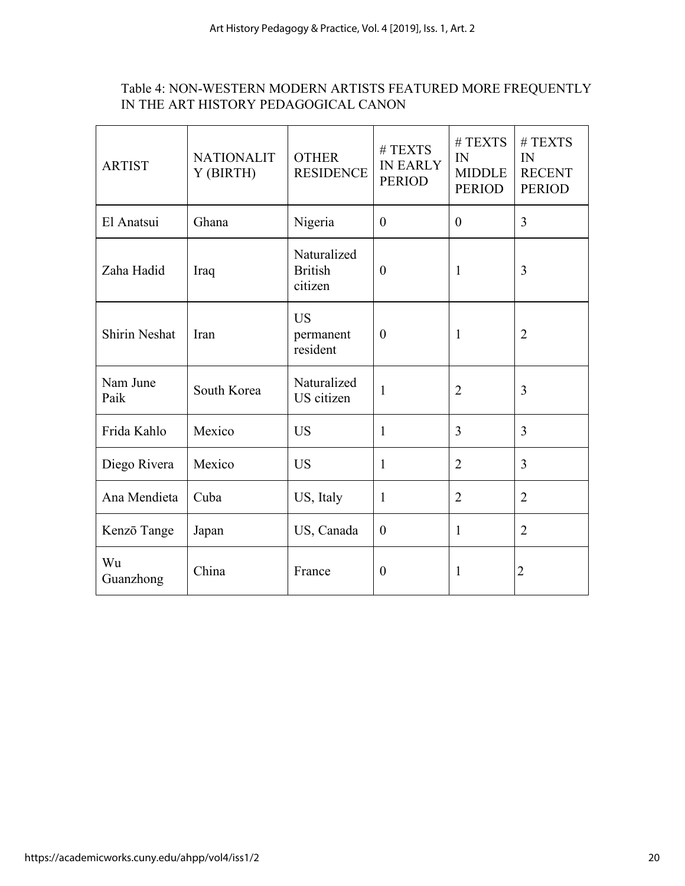## Table 4: NON-WESTERN MODERN ARTISTS FEATURED MORE FREQUENTLY IN THE ART HISTORY PEDAGOGICAL CANON

| <b>ARTIST</b>        | <b>NATIONALIT</b><br>Y (BIRTH) | <b>OTHER</b><br><b>RESIDENCE</b>                           | #TEXTS<br><b>IN EARLY</b><br><b>PERIOD</b> | # <b>TEXTS</b><br>IN<br><b>MIDDLE</b><br><b>PERIOD</b> | # <b>TEXTS</b><br>IN<br><b>RECENT</b><br><b>PERIOD</b> |
|----------------------|--------------------------------|------------------------------------------------------------|--------------------------------------------|--------------------------------------------------------|--------------------------------------------------------|
| El Anatsui           | Ghana                          | Nigeria                                                    | $\theta$                                   | $\theta$                                               | 3                                                      |
| Zaha Hadid           | Iraq                           | Naturalized<br><b>British</b><br>$\overline{0}$<br>citizen |                                            | $\mathbf{1}$                                           | 3                                                      |
| <b>Shirin Neshat</b> | Iran                           | <b>US</b><br>permanent<br>resident                         | $\theta$<br>$\mathbf{1}$                   |                                                        | $\overline{2}$                                         |
| Nam June<br>Paik     | South Korea                    | Naturalized<br>US citizen                                  | $\mathbf{1}$                               | $\overline{2}$                                         | 3                                                      |
| Frida Kahlo          | Mexico                         | <b>US</b>                                                  | 1                                          | 3                                                      | 3                                                      |
| Diego Rivera         | Mexico                         | <b>US</b>                                                  | $\mathbf{1}$                               | $\overline{2}$                                         | $\overline{3}$                                         |
| Ana Mendieta         | Cuba                           | US, Italy                                                  | $\mathbf{1}$                               | $\overline{2}$                                         | $\overline{2}$                                         |
| Kenzō Tange          | Japan                          | US, Canada                                                 | $\overline{0}$                             | 1                                                      | $\overline{2}$                                         |
| Wu<br>Guanzhong      | China                          | France                                                     | $\overline{0}$                             | 1                                                      | $\overline{2}$                                         |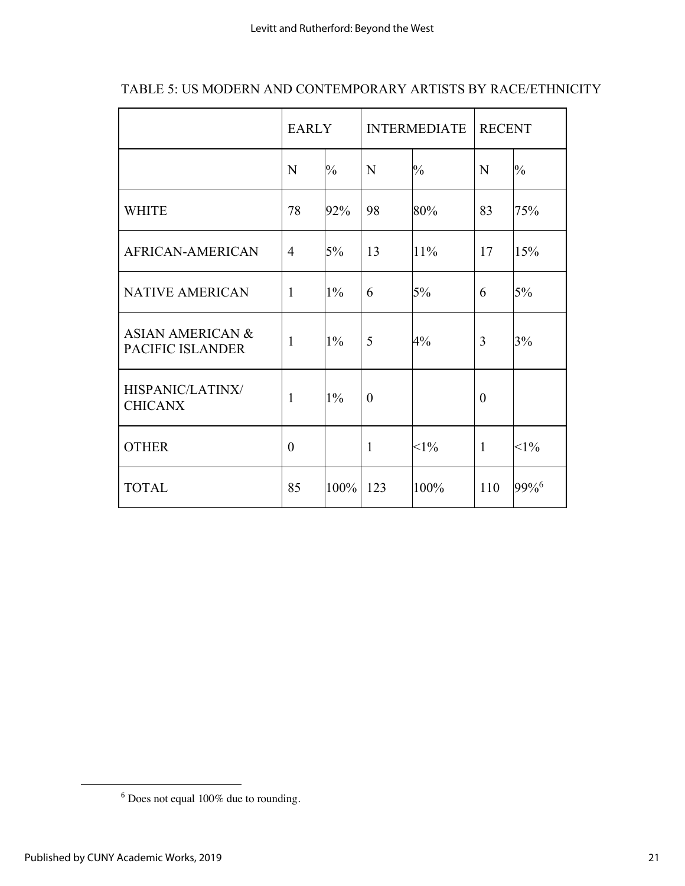|                                                 | <b>EARLY</b>   |               | <b>INTERMEDIATE</b> |               | <b>RECENT</b> |               |
|-------------------------------------------------|----------------|---------------|---------------------|---------------|---------------|---------------|
|                                                 | N              | $\frac{0}{0}$ | N                   | $\frac{0}{0}$ | N             | $\frac{0}{0}$ |
| <b>WHITE</b>                                    | 78             | 92%           | 98                  | 80%           | 83            | 75%           |
| AFRICAN-AMERICAN                                | $\overline{4}$ | 5%            | 13                  | 11%           | 17            | 15%           |
| <b>NATIVE AMERICAN</b>                          | $\mathbf{1}$   | $1\%$         | 6                   | 5%            | 6             | 5%            |
| <b>ASIAN AMERICAN &amp;</b><br>PACIFIC ISLANDER | $\mathbf{1}$   | $1\%$         | 5                   | 4%            | 3             | 3%            |
| HISPANIC/LATINX/<br><b>CHICANX</b>              | 1              | 1%            | $\theta$            |               | $\theta$      |               |
| <b>OTHER</b>                                    | $\theta$       |               | $\mathbf{1}$        | $<1\%$        | $\mathbf{1}$  | $<1\%$        |
| <b>TOTAL</b>                                    | 85             | 100%          | 123                 | 100%          | 110           | 99%6          |

## TABLE 5: US MODERN AND CONTEMPORARY ARTISTS BY RACE/ETHNICITY

 <sup>6</sup> Does not equal 100% due to rounding.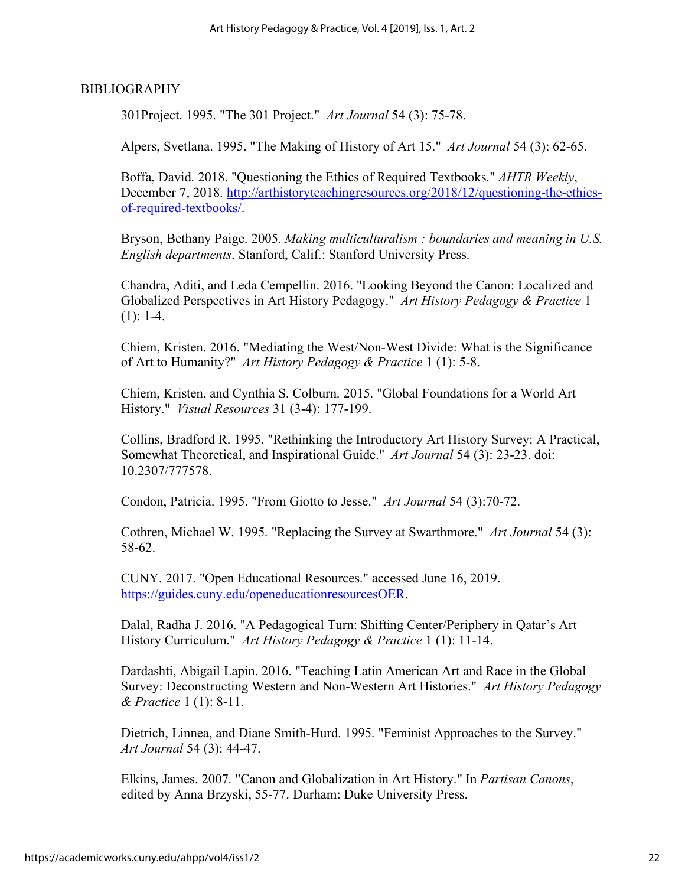#### BIBLIOGRAPHY

301Project. 1995. "The 301 Project." *Art Journal* 54 (3): 75-78.

Alpers, Svetlana. 1995. "The Making of History of Art 15." *Art Journal* 54 (3): 62-65.

Boffa, David. 2018. "Questioning the Ethics of Required Textbooks." *AHTR Weekly*, December 7, 2018. http://arthistoryteachingresources.org/2018/12/questioning-the-ethicsof-required-textbooks/.

Bryson, Bethany Paige. 2005. *Making multiculturalism : boundaries and meaning in U.S. English departments*. Stanford, Calif.: Stanford University Press.

Chandra, Aditi, and Leda Cempellin. 2016. "Looking Beyond the Canon: Localized and Globalized Perspectives in Art History Pedagogy." *Art History Pedagogy & Practice* 1  $(1): 1-4.$ 

Chiem, Kristen. 2016. "Mediating the West/Non-West Divide: What is the Significance of Art to Humanity?" *Art History Pedagogy & Practice* 1 (1): 5-8.

Chiem, Kristen, and Cynthia S. Colburn. 2015. "Global Foundations for a World Art History." *Visual Resources* 31 (3-4): 177-199.

Collins, Bradford R. 1995. "Rethinking the Introductory Art History Survey: A Practical, Somewhat Theoretical, and Inspirational Guide." *Art Journal* 54 (3): 23-23. doi: 10.2307/777578.

Condon, Patricia. 1995. "From Giotto to Jesse." *Art Journal* 54 (3):70-72.

Cothren, Michael W. 1995. "Replacing the Survey at Swarthmore." *Art Journal* 54 (3): 58-62.

CUNY. 2017. "Open Educational Resources." accessed June 16, 2019. https://guides.cuny.edu/openeducationresourcesOER.

Dalal, Radha J. 2016. "A Pedagogical Turn: Shifting Center/Periphery in Qatar's Art History Curriculum." *Art History Pedagogy & Practice* 1 (1): 11-14.

Dardashti, Abigail Lapin. 2016. "Teaching Latin American Art and Race in the Global Survey: Deconstructing Western and Non-Western Art Histories." *Art History Pedagogy & Practice* 1 (1): 8-11.

Dietrich, Linnea, and Diane Smith-Hurd. 1995. "Feminist Approaches to the Survey." *Art Journal* 54 (3): 44-47.

Elkins, James. 2007. "Canon and Globalization in Art History." In *Partisan Canons*, edited by Anna Brzyski, 55-77. Durham: Duke University Press.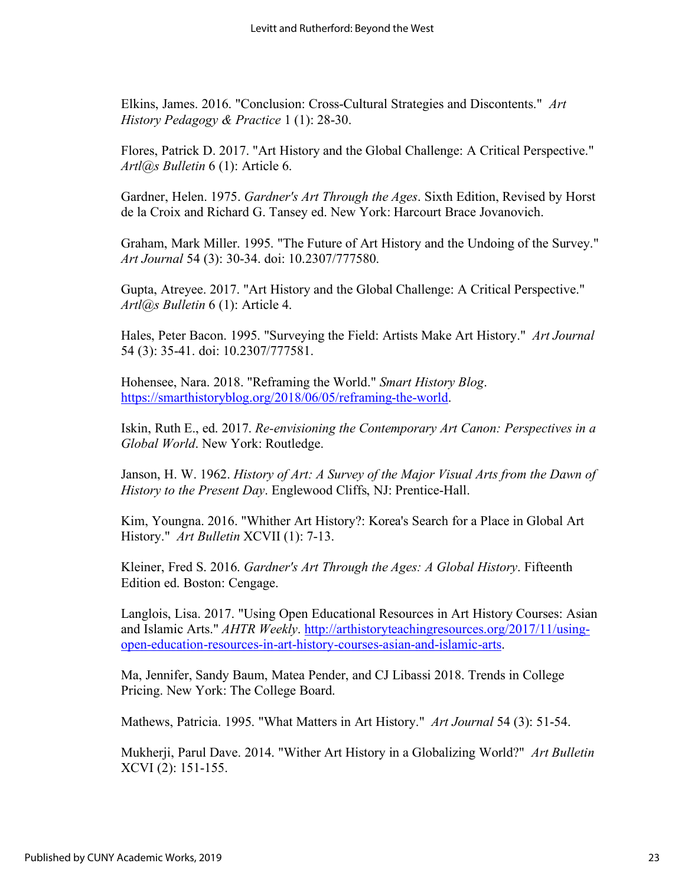Elkins, James. 2016. "Conclusion: Cross-Cultural Strategies and Discontents." *Art History Pedagogy & Practice* 1 (1): 28-30.

Flores, Patrick D. 2017. "Art History and the Global Challenge: A Critical Perspective." *Artl@s Bulletin* 6 (1): Article 6.

Gardner, Helen. 1975. *Gardner's Art Through the Ages*. Sixth Edition, Revised by Horst de la Croix and Richard G. Tansey ed. New York: Harcourt Brace Jovanovich.

Graham, Mark Miller. 1995. "The Future of Art History and the Undoing of the Survey." *Art Journal* 54 (3): 30-34. doi: 10.2307/777580.

Gupta, Atreyee. 2017. "Art History and the Global Challenge: A Critical Perspective." *Artl@s Bulletin* 6 (1): Article 4.

Hales, Peter Bacon. 1995. "Surveying the Field: Artists Make Art History." *Art Journal* 54 (3): 35-41. doi: 10.2307/777581.

Hohensee, Nara. 2018. "Reframing the World." *Smart History Blog*. https://smarthistoryblog.org/2018/06/05/reframing-the-world.

Iskin, Ruth E., ed. 2017. *Re-envisioning the Contemporary Art Canon: Perspectives in a Global World*. New York: Routledge.

Janson, H. W. 1962. *History of Art: A Survey of the Major Visual Arts from the Dawn of History to the Present Day*. Englewood Cliffs, NJ: Prentice-Hall.

Kim, Youngna. 2016. "Whither Art History?: Korea's Search for a Place in Global Art History." *Art Bulletin* XCVII (1): 7-13.

Kleiner, Fred S. 2016. *Gardner's Art Through the Ages: A Global History*. Fifteenth Edition ed. Boston: Cengage.

Langlois, Lisa. 2017. "Using Open Educational Resources in Art History Courses: Asian and Islamic Arts." *AHTR Weekly*. http://arthistoryteachingresources.org/2017/11/usingopen-education-resources-in-art-history-courses-asian-and-islamic-arts.

Ma, Jennifer, Sandy Baum, Matea Pender, and CJ Libassi 2018. Trends in College Pricing. New York: The College Board.

Mathews, Patricia. 1995. "What Matters in Art History." *Art Journal* 54 (3): 51-54.

Mukherji, Parul Dave. 2014. "Wither Art History in a Globalizing World?" *Art Bulletin* XCVI (2): 151-155.